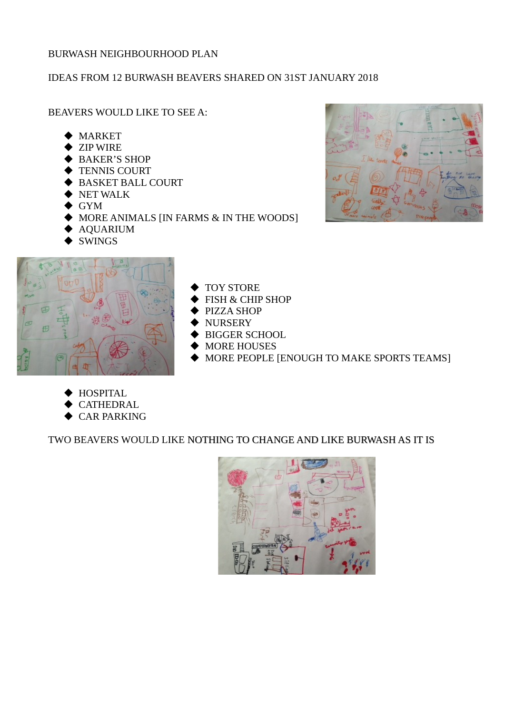## BURWASH NEIGHBOURHOOD PLAN

## IDEAS FROM 12 BURWASH BEAVERS SHARED ON 31ST JANUARY 2018

BEAVERS WOULD LIKE TO SEE A:

- MARKET
- **◆ ZIP WIRE**
- BAKER'S SHOP
- ◆ TENNIS COURT
- BASKET BALL COURT
- $\blacktriangleright$  NET WALK
- GYM
- MORE ANIMALS [IN FARMS & IN THE WOODS]



- TOY STORE
- FISH & CHIP SHOP
- PIZZA SHOP
- NURSERY
- BIGGER SCHOOL
- MORE HOUSES
- MORE PEOPLE [ENOUGH TO MAKE SPORTS TEAMS]
- **HOSPITAL**
- **CATHEDRAL**
- CAR PARKING

TWO BEAVERS WOULD LIKE NOTHING TO CHANGE AND LIKE BURWASH AS IT IS



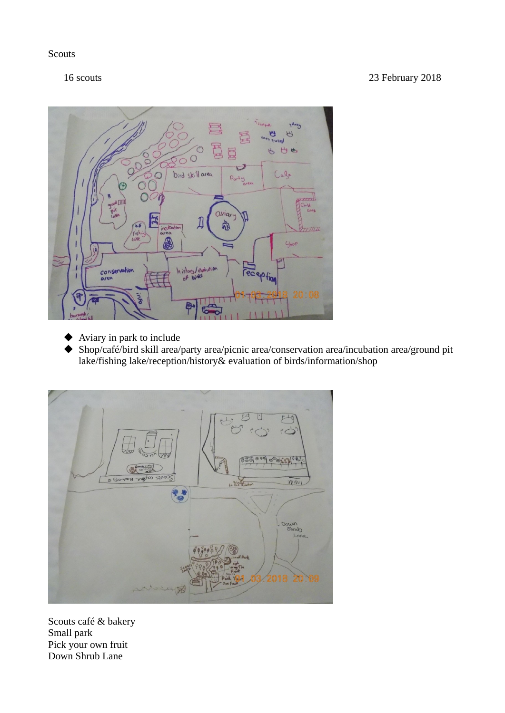**Scouts** 



- Aviary in park to include
- Shop/café/bird skill area/party area/picnic area/conservation area/incubation area/ground pit lake/fishing lake/reception/history& evaluation of birds/information/shop



Scouts café & bakery Small park Pick your own fruit Down Shrub Lane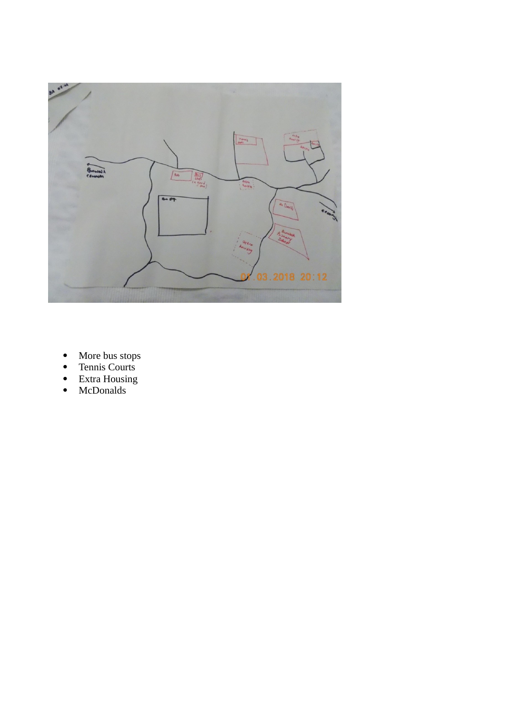

- More bus stops
- Tennis Courts
- Extra Housing
- McDonalds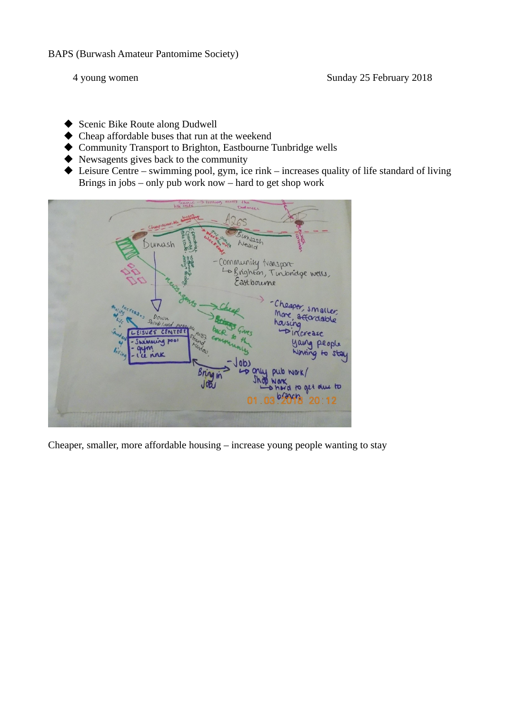- ◆ Scenic Bike Route along Dudwell
- Cheap affordable buses that run at the weekend
- Community Transport to Brighton, Eastbourne Tunbridge wells
- Newsagents gives back to the community
- ◆ Leisure Centre swimming pool, gym, ice rink increases quality of life standard of living Brings in jobs – only pub work now – hard to get shop work



Cheaper, smaller, more affordable housing – increase young people wanting to stay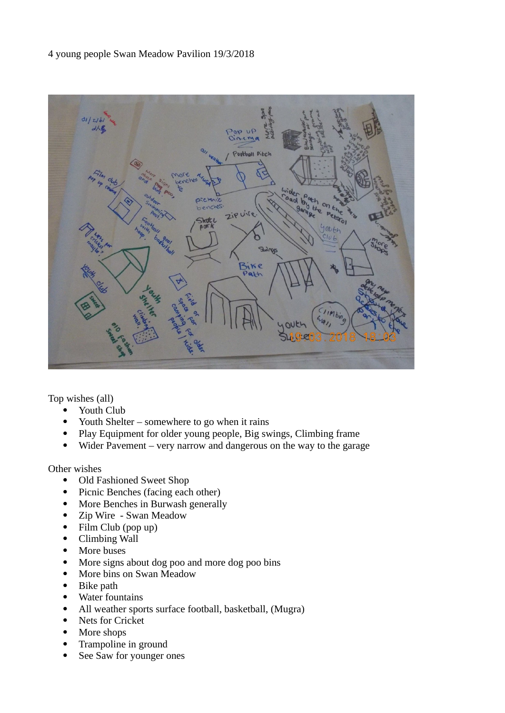4 young people Swan Meadow Pavilion 19/3/2018



Top wishes (all)

- Youth Club
- Youth Shelter somewhere to go when it rains
- Play Equipment for older young people, Big swings, Climbing frame
- Wider Pavement very narrow and dangerous on the way to the garage

Other wishes

- Old Fashioned Sweet Shop
- Picnic Benches (facing each other)
- More Benches in Burwash generally
- Zip Wire Swan Meadow
- Film Club (pop up)
- Climbing Wall
- More buses
- More signs about dog poo and more dog poo bins
- More bins on Swan Meadow
- Bike path
- Water fountains
- All weather sports surface football, basketball, (Mugra)
- Nets for Cricket
- More shops
- Trampoline in ground
- See Saw for younger ones